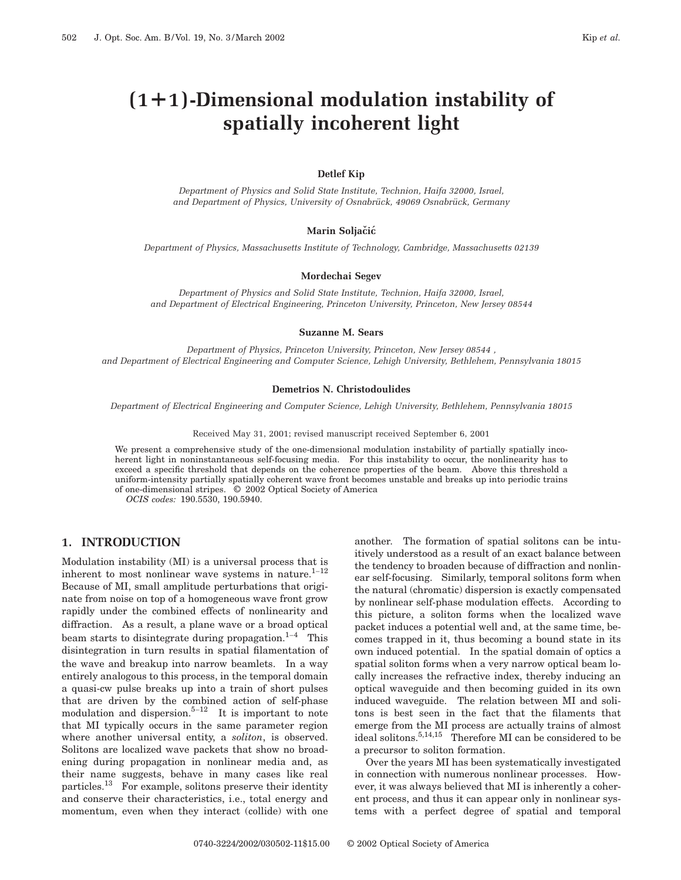# **(1¿1)-Dimensional modulation instability of spatially incoherent light**

#### **Detlef Kip**

*Department of Physics and Solid State Institute, Technion, Haifa 32000, Israel, and Department of Physics, University of Osnabru¨ ck, 49069 Osnabru¨ ck, Germany*

#### **Marin Soljačić**

*Department of Physics, Massachusetts Institute of Technology, Cambridge, Massachusetts 02139*

#### **Mordechai Segev**

*Department of Physics and Solid State Institute, Technion, Haifa 32000, Israel, and Department of Electrical Engineering, Princeton University, Princeton, New Jersey 08544*

#### **Suzanne M. Sears**

*Department of Physics, Princeton University, Princeton, New Jersey 08544 , and Department of Electrical Engineering and Computer Science, Lehigh University, Bethlehem, Pennsylvania 18015*

#### **Demetrios N. Christodoulides**

*Department of Electrical Engineering and Computer Science, Lehigh University, Bethlehem, Pennsylvania 18015*

Received May 31, 2001; revised manuscript received September 6, 2001

We present a comprehensive study of the one-dimensional modulation instability of partially spatially incoherent light in noninstantaneous self-focusing media. For this instability to occur, the nonlinearity has to exceed a specific threshold that depends on the coherence properties of the beam. Above this threshold a uniform-intensity partially spatially coherent wave front becomes unstable and breaks up into periodic trains of one-dimensional stripes. © 2002 Optical Society of America

*OCIS codes:* 190.5530, 190.5940.

# **1. INTRODUCTION**

Modulation instability (MI) is a universal process that is inherent to most nonlinear wave systems in nature. $1-12$ Because of MI, small amplitude perturbations that originate from noise on top of a homogeneous wave front grow rapidly under the combined effects of nonlinearity and diffraction. As a result, a plane wave or a broad optical beam starts to disintegrate during propagation.<sup>1–4</sup> This disintegration in turn results in spatial filamentation of the wave and breakup into narrow beamlets. In a way entirely analogous to this process, in the temporal domain a quasi-cw pulse breaks up into a train of short pulses that are driven by the combined action of self-phase modulation and dispersion.<sup>5–12</sup> It is important to note that MI typically occurs in the same parameter region where another universal entity, a *soliton*, is observed. Solitons are localized wave packets that show no broadening during propagation in nonlinear media and, as their name suggests, behave in many cases like real particles.13 For example, solitons preserve their identity and conserve their characteristics, i.e., total energy and momentum, even when they interact (collide) with one

another. The formation of spatial solitons can be intuitively understood as a result of an exact balance between the tendency to broaden because of diffraction and nonlinear self-focusing. Similarly, temporal solitons form when the natural (chromatic) dispersion is exactly compensated by nonlinear self-phase modulation effects. According to this picture, a soliton forms when the localized wave packet induces a potential well and, at the same time, becomes trapped in it, thus becoming a bound state in its own induced potential. In the spatial domain of optics a spatial soliton forms when a very narrow optical beam locally increases the refractive index, thereby inducing an optical waveguide and then becoming guided in its own induced waveguide. The relation between MI and solitons is best seen in the fact that the filaments that emerge from the MI process are actually trains of almost ideal solitons.5,14,15 Therefore MI can be considered to be a precursor to soliton formation.

Over the years MI has been systematically investigated in connection with numerous nonlinear processes. However, it was always believed that MI is inherently a coherent process, and thus it can appear only in nonlinear systems with a perfect degree of spatial and temporal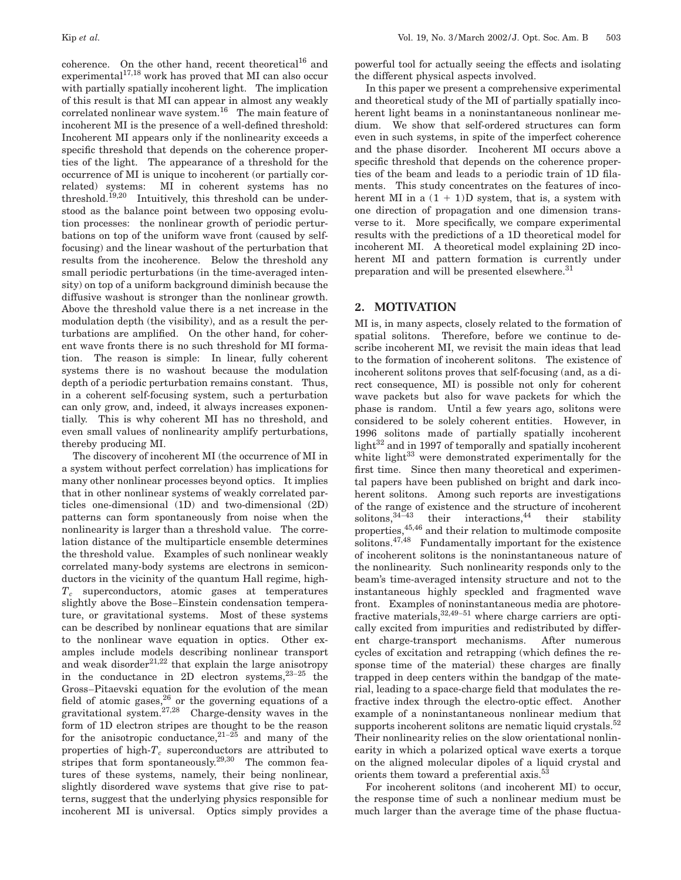coherence. On the other hand, recent theoretical<sup>16</sup> and experimental<sup>17,18</sup> work has proved that MI can also occur with partially spatially incoherent light. The implication of this result is that MI can appear in almost any weakly correlated nonlinear wave system.<sup>16</sup> The main feature of incoherent MI is the presence of a well-defined threshold: Incoherent MI appears only if the nonlinearity exceeds a specific threshold that depends on the coherence properties of the light. The appearance of a threshold for the occurrence of MI is unique to incoherent (or partially correlated) systems: MI in coherent systems has no threshold.<sup>19,20</sup> Intuitively, this threshold can be understood as the balance point between two opposing evolution processes: the nonlinear growth of periodic perturbations on top of the uniform wave front (caused by selffocusing) and the linear washout of the perturbation that results from the incoherence. Below the threshold any small periodic perturbations (in the time-averaged intensity) on top of a uniform background diminish because the diffusive washout is stronger than the nonlinear growth. Above the threshold value there is a net increase in the modulation depth (the visibility), and as a result the perturbations are amplified. On the other hand, for coherent wave fronts there is no such threshold for MI formation. The reason is simple: In linear, fully coherent systems there is no washout because the modulation depth of a periodic perturbation remains constant. Thus, in a coherent self-focusing system, such a perturbation can only grow, and, indeed, it always increases exponentially. This is why coherent MI has no threshold, and even small values of nonlinearity amplify perturbations, thereby producing MI.

The discovery of incoherent MI (the occurrence of MI in a system without perfect correlation) has implications for many other nonlinear processes beyond optics. It implies that in other nonlinear systems of weakly correlated particles one-dimensional (1D) and two-dimensional (2D) patterns can form spontaneously from noise when the nonlinearity is larger than a threshold value. The correlation distance of the multiparticle ensemble determines the threshold value. Examples of such nonlinear weakly correlated many-body systems are electrons in semiconductors in the vicinity of the quantum Hall regime, high-*Tc* superconductors, atomic gases at temperatures slightly above the Bose–Einstein condensation temperature, or gravitational systems. Most of these systems can be described by nonlinear equations that are similar to the nonlinear wave equation in optics. Other examples include models describing nonlinear transport and weak disorder $2^{1,22}$  that explain the large anisotropy in the conductance in 2D electron systems, $2^{3-25}$  the Gross–Pitaevski equation for the evolution of the mean field of atomic gases,  $26$  or the governing equations of a gravitational system.<sup>27,28</sup> Charge-density waves in the form of 1D electron stripes are thought to be the reason for the anisotropic conductance,  $21-25$  and many of the properties of high- $T_c$  superconductors are attributed to stripes that form spontaneously. $29,30$  The common features of these systems, namely, their being nonlinear, slightly disordered wave systems that give rise to patterns, suggest that the underlying physics responsible for incoherent MI is universal. Optics simply provides a

powerful tool for actually seeing the effects and isolating the different physical aspects involved.

In this paper we present a comprehensive experimental and theoretical study of the MI of partially spatially incoherent light beams in a noninstantaneous nonlinear medium. We show that self-ordered structures can form even in such systems, in spite of the imperfect coherence and the phase disorder. Incoherent MI occurs above a specific threshold that depends on the coherence properties of the beam and leads to a periodic train of 1D filaments. This study concentrates on the features of incoherent MI in a  $(1 + 1)$ D system, that is, a system with one direction of propagation and one dimension transverse to it. More specifically, we compare experimental results with the predictions of a 1D theoretical model for incoherent MI. A theoretical model explaining 2D incoherent MI and pattern formation is currently under preparation and will be presented elsewhere.<sup>31</sup>

## **2. MOTIVATION**

MI is, in many aspects, closely related to the formation of spatial solitons. Therefore, before we continue to describe incoherent MI, we revisit the main ideas that lead to the formation of incoherent solitons. The existence of incoherent solitons proves that self-focusing (and, as a direct consequence, MI) is possible not only for coherent wave packets but also for wave packets for which the phase is random. Until a few years ago, solitons were considered to be solely coherent entities. However, in 1996 solitons made of partially spatially incoherent light $32$  and in 1997 of temporally and spatially incoherent white light $33$  were demonstrated experimentally for the first time. Since then many theoretical and experimental papers have been published on bright and dark incoherent solitons. Among such reports are investigations of the range of existence and the structure of incoherent solitons,  $34-43$  their interactions,  $44$  their stability properties,45,46 and their relation to multimode composite solitons. $47,48$  Fundamentally important for the existence of incoherent solitons is the noninstantaneous nature of the nonlinearity. Such nonlinearity responds only to the beam's time-averaged intensity structure and not to the instantaneous highly speckled and fragmented wave front. Examples of noninstantaneous media are photorefractive materials,  $32,49-51$  where charge carriers are optically excited from impurities and redistributed by different charge-transport mechanisms. After numerous cycles of excitation and retrapping (which defines the response time of the material) these charges are finally trapped in deep centers within the bandgap of the material, leading to a space-charge field that modulates the refractive index through the electro-optic effect. Another example of a noninstantaneous nonlinear medium that supports incoherent solitons are nematic liquid crystals.<sup>52</sup> Their nonlinearity relies on the slow orientational nonlinearity in which a polarized optical wave exerts a torque on the aligned molecular dipoles of a liquid crystal and orients them toward a preferential axis.<sup>53</sup>

For incoherent solitons (and incoherent MI) to occur, the response time of such a nonlinear medium must be much larger than the average time of the phase fluctua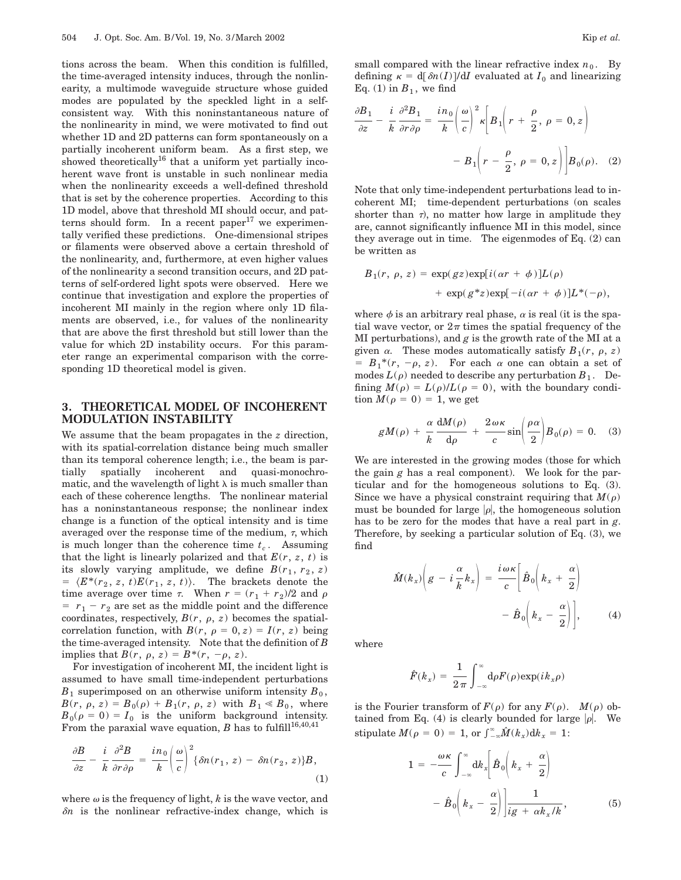tions across the beam. When this condition is fulfilled, the time-averaged intensity induces, through the nonlinearity, a multimode waveguide structure whose guided modes are populated by the speckled light in a selfconsistent way. With this noninstantaneous nature of the nonlinearity in mind, we were motivated to find out whether 1D and 2D patterns can form spontaneously on a partially incoherent uniform beam. As a first step, we showed theoretically<sup>16</sup> that a uniform yet partially incoherent wave front is unstable in such nonlinear media when the nonlinearity exceeds a well-defined threshold that is set by the coherence properties. According to this 1D model, above that threshold MI should occur, and patterns should form. In a recent paper $17$  we experimentally verified these predictions. One-dimensional stripes or filaments were observed above a certain threshold of the nonlinearity, and, furthermore, at even higher values of the nonlinearity a second transition occurs, and 2D patterns of self-ordered light spots were observed. Here we continue that investigation and explore the properties of incoherent MI mainly in the region where only 1D filaments are observed, i.e., for values of the nonlinearity that are above the first threshold but still lower than the value for which 2D instability occurs. For this parameter range an experimental comparison with the corresponding 1D theoretical model is given.

## **3. THEORETICAL MODEL OF INCOHERENT MODULATION INSTABILITY**

We assume that the beam propagates in the *z* direction, with its spatial-correlation distance being much smaller than its temporal coherence length; i.e., the beam is partially spatially incoherent and quasi-monochromatic, and the wavelength of light  $\lambda$  is much smaller than each of these coherence lengths. The nonlinear material has a noninstantaneous response; the nonlinear index change is a function of the optical intensity and is time averaged over the response time of the medium,  $\tau$ , which is much longer than the coherence time  $t_c$ . Assuming that the light is linearly polarized and that  $E(r, z, t)$  is its slowly varying amplitude, we define  $B(r_1, r_2, z)$  $= \langle E^*(r_2, z, t)E(r_1, z, t) \rangle$ . The brackets denote the time average over time  $\tau$ . When  $r = (r_1 + r_2)/2$  and  $\rho$  $r_1 - r_2$  are set as the middle point and the difference coordinates, respectively,  $B(r, \rho, z)$  becomes the spatialcorrelation function, with  $B(r, \rho = 0, z) = I(r, z)$  being the time-averaged intensity. Note that the definition of *B* implies that  $B(r, \rho, z) = B^*(r, -\rho, z)$ .

For investigation of incoherent MI, the incident light is assumed to have small time-independent perturbations  $B_1$  superimposed on an otherwise uniform intensity  $B_0$ ,  $B(r, \rho, z) = B_0(\rho) + B_1(r, \rho, z)$  with  $B_1 \ll B_0$ , where  $B_0(\rho = 0) = I_0$  is the uniform background intensity. From the paraxial wave equation, *B* has to fulfill<sup>16,40,41</sup>

$$
\frac{\partial B}{\partial z} - \frac{i}{k} \frac{\partial^2 B}{\partial r \partial \rho} = \frac{i n_0}{k} \left( \frac{\omega}{c} \right)^2 \{ \delta n(r_1, z) - \delta n(r_2, z) \} B,
$$
\n(1)

where  $\omega$  is the frequency of light,  $k$  is the wave vector, and  $\delta n$  is the nonlinear refractive-index change, which is small compared with the linear refractive index  $n_0$ . By defining  $\kappa = d[\delta n(I)]/dI$  evaluated at  $I_0$  and linearizing Eq. (1) in  $B_1$ , we find

$$
\frac{\partial B_1}{\partial z} - \frac{i}{k} \frac{\partial^2 B_1}{\partial r \partial \rho} = \frac{in_0}{k} \left( \frac{\omega}{c} \right)^2 \kappa \left[ B_1 \left( r + \frac{\rho}{2}, \rho = 0, z \right) - B_1 \left( r - \frac{\rho}{2}, \rho = 0, z \right) \right] B_0(\rho). \quad (2)
$$

Note that only time-independent perturbations lead to incoherent MI; time-dependent perturbations (on scales shorter than  $\tau$ ), no matter how large in amplitude they are, cannot significantly influence MI in this model, since they average out in time. The eigenmodes of Eq. (2) can be written as

$$
B_1(r, \rho, z) = \exp(gz) \exp[i(\alpha r + \phi)]L(\rho)
$$
  
+ 
$$
\exp(g^*z) \exp[-i(\alpha r + \phi)]L^*(-\rho),
$$

where  $\phi$  is an arbitrary real phase,  $\alpha$  is real (it is the spatial wave vector, or  $2\pi$  times the spatial frequency of the MI perturbations), and *g* is the growth rate of the MI at a given  $\alpha$ . These modes automatically satisfy  $B_1(r, \rho, z)$  $= B_1^*(r, -\rho, z)$ . For each  $\alpha$  one can obtain a set of modes  $L(\rho)$  needed to describe any perturbation  $B_1$ . Defining  $M(\rho) = L(\rho)/L(\rho = 0)$ , with the boundary condition  $M(\rho = 0) = 1$ , we get

$$
gM(\rho) + \frac{\alpha}{k} \frac{dM(\rho)}{d\rho} + \frac{2\omega\kappa}{c} \sin\left(\frac{\rho\alpha}{2}\right) B_0(\rho) = 0. \quad (3)
$$

We are interested in the growing modes (those for which the gain *g* has a real component). We look for the particular and for the homogeneous solutions to Eq. (3). Since we have a physical constraint requiring that  $M(\rho)$ must be bounded for large  $|\rho|$ , the homogeneous solution has to be zero for the modes that have a real part in *g*. Therefore, by seeking a particular solution of Eq. (3), we find

$$
\hat{M}(k_x) \bigg( g - i \frac{\alpha}{k} k_x \bigg) = \frac{i \omega \kappa}{c} \bigg[ \hat{B}_0 \bigg( k_x + \frac{\alpha}{2} \bigg) - \hat{B}_0 \bigg( k_x - \frac{\alpha}{2} \bigg) \bigg], \qquad (4)
$$

where

$$
\hat{F}(k_x) = \frac{1}{2\pi} \int_{-\infty}^{\infty} d\rho F(\rho) \exp(i k_x \rho)
$$

is the Fourier transform of  $F(\rho)$  for any  $F(\rho)$ .  $M(\rho)$  obtained from Eq. (4) is clearly bounded for large  $|\rho|$ . We  $\text{stipulate } M(\rho = 0) = 1, \text{ or } \int_{-\infty}^{\infty} \hat{M}(k_x) \mathrm{d}k_x = 1:$ 

$$
1 = -\frac{\omega \kappa}{c} \int_{-\infty}^{\infty} dk_x \left[ \hat{B}_0 \left( k_x + \frac{\alpha}{2} \right) - \hat{B}_0 \left( k_x - \frac{\alpha}{2} \right) \right] \frac{1}{ig + \alpha k_x / k}, \tag{5}
$$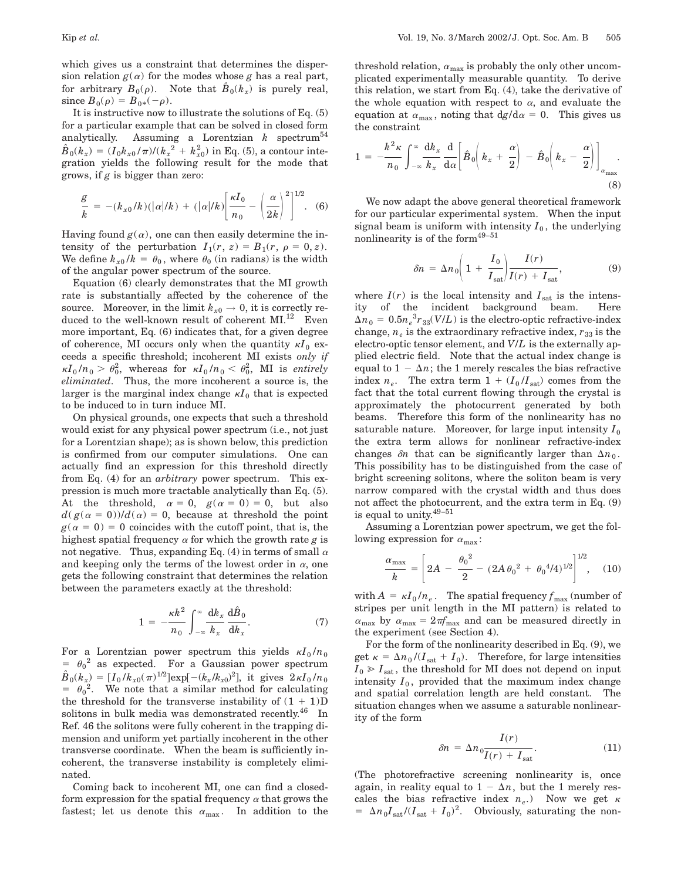which gives us a constraint that determines the dispersion relation  $g(\alpha)$  for the modes whose *g* has a real part, for arbitrary  $B_0(\rho)$ . Note that  $\hat{B}_0(k_x)$  is purely real, since  $B_0(\rho) = B_{0*}(-\rho)$ .

It is instructive now to illustrate the solutions of Eq. (5) for a particular example that can be solved in closed form analytically. Assuming a Lorentzian  $k$  spectrum<sup>54</sup>  $\hat{B}_0(k_x) = (I_0 k_{x0} / \pi) / (k_x^2 + k_{x0}^2)$  in Eq. (5), a contour integration yields the following result for the mode that grows, if *g* is bigger than zero:

$$
\frac{g}{k} = -(k_{x0}/k)(|\alpha|/k) + (|\alpha|/k) \left[ \frac{\kappa I_0}{n_0} - \left( \frac{\alpha}{2k} \right)^2 \right]^{1/2} .
$$
 (6)

Having found  $g(\alpha)$ , one can then easily determine the intensity of the perturbation  $I_1(r, z) = B_1(r, \rho = 0, z)$ . We define  $k_{x0}/k = \theta_0$ , where  $\theta_0$  (in radians) is the width of the angular power spectrum of the source.

Equation (6) clearly demonstrates that the MI growth rate is substantially affected by the coherence of the source. Moreover, in the limit  $k_{x0} \rightarrow 0$ , it is correctly reduced to the well-known result of coherent  $\text{MI}.^{12}$  Even more important, Eq. (6) indicates that, for a given degree of coherence, MI occurs only when the quantity  $\kappa I_0$  exceeds a specific threshold; incoherent MI exists *only if*  $\kappa I_0/n_0 > \theta_0^2$ , whereas for  $\kappa I_0/n_0 < \theta_0^2$ , MI is *entirely eliminated*. Thus, the more incoherent a source is, the larger is the marginal index change  $\kappa I_0$  that is expected to be induced to in turn induce MI.

On physical grounds, one expects that such a threshold would exist for any physical power spectrum (i.e., not just for a Lorentzian shape); as is shown below, this prediction is confirmed from our computer simulations. One can actually find an expression for this threshold directly from Eq. (4) for an *arbitrary* power spectrum. This expression is much more tractable analytically than Eq. (5). At the threshold,  $\alpha = 0$ ,  $g(\alpha = 0) = 0$ , but also  $d(g(\alpha = 0))/d(\alpha) = 0$ , because at threshold the point  $g(a = 0) = 0$  coincides with the cutoff point, that is, the highest spatial frequency  $\alpha$  for which the growth rate  $g$  is not negative. Thus, expanding Eq. (4) in terms of small  $\alpha$ and keeping only the terms of the lowest order in  $\alpha$ , one gets the following constraint that determines the relation between the parameters exactly at the threshold:

$$
1 = -\frac{\kappa k^2}{n_0} \int_{-\infty}^{\infty} \frac{\mathrm{d}k_x}{k_x} \frac{\mathrm{d}\hat{B}_0}{\mathrm{d}k_x}.
$$
 (7)

For a Lorentzian power spectrum this yields  $\kappa I_0 / n_0$  $= \theta_0^2$  as expected. For a Gaussian power spectrum  $\hat{B}_0(k_x) = [I_0/k_{x0}(\pi)^{1/2}] \exp[-(k_x/k_{x0})^2]$ , it gives  $2\kappa I_0/n_0$  $= \theta_0^2$ . We note that a similar method for calculating the threshold for the transverse instability of  $(1 + 1)D$ solitons in bulk media was demonstrated recently. $46$  In Ref. 46 the solitons were fully coherent in the trapping dimension and uniform yet partially incoherent in the other transverse coordinate. When the beam is sufficiently incoherent, the transverse instability is completely eliminated.

Coming back to incoherent MI, one can find a closedform expression for the spatial frequency  $\alpha$  that grows the fastest; let us denote this  $\alpha_{\text{max}}$ . In addition to the threshold relation,  $\alpha_{\text{max}}$  is probably the only other uncomplicated experimentally measurable quantity. To derive this relation, we start from Eq. (4), take the derivative of the whole equation with respect to  $\alpha$ , and evaluate the equation at  $\alpha_{\text{max}}$ , noting that  $\frac{dg}{d\alpha} = 0$ . This gives us the constraint

$$
1 = -\frac{k^2 \kappa}{n_0} \int_{-\infty}^{\infty} \frac{dk_x}{k_x} \frac{d}{d\alpha} \left[ \hat{B}_0 \left( k_x + \frac{\alpha}{2} \right) - \hat{B}_0 \left( k_x - \frac{\alpha}{2} \right) \right]_{\alpha_{\text{max}}}.
$$
\n(8)

We now adapt the above general theoretical framework for our particular experimental system. When the input signal beam is uniform with intensity  $I_0$ , the underlying nonlinearity is of the form $49-51$ 

$$
\delta n = \Delta n_0 \bigg( 1 + \frac{I_0}{I_{\text{sat}}} \bigg) \frac{I(r)}{I(r) + I_{\text{sat}}},
$$
(9)

where  $I(r)$  is the local intensity and  $I_{\text{sat}}$  is the intensity of the incident background beam.  $\Delta n_0 = 0.5 n_e^3 r_{33}(V/L)$  is the electro-optic refractive-index change,  $n_e$  is the extraordinary refractive index,  $r_{33}$  is the electro-optic tensor element, and *V*/*L* is the externally applied electric field. Note that the actual index change is equal to  $1 - \Delta n$ ; the 1 merely rescales the bias refractive index  $n_e$ . The extra term  $1 + (I_0/I_{\text{sat}})$  comes from the fact that the total current flowing through the crystal is approximately the photocurrent generated by both beams. Therefore this form of the nonlinearity has no saturable nature. Moreover, for large input intensity  $I_0$ the extra term allows for nonlinear refractive-index changes  $\delta n$  that can be significantly larger than  $\Delta n_0$ . This possibility has to be distinguished from the case of bright screening solitons, where the soliton beam is very narrow compared with the crystal width and thus does not affect the photocurrent, and the extra term in Eq. (9) is equal to unity.49–<sup>51</sup>

Assuming a Lorentzian power spectrum, we get the following expression for  $\alpha_{\text{max}}$ :

$$
\frac{\alpha_{\text{max}}}{k} = \left[2A - \frac{\theta_0^2}{2} - (2A\theta_0^2 + \theta_0^4/4)^{1/2}\right]^{1/2}, \quad (10)
$$

with  $A = \kappa I_0 / n_e$ . The spatial frequency  $f_{\text{max}}$  (number of stripes per unit length in the MI pattern) is related to  $\alpha_{\text{max}}$  by  $\alpha_{\text{max}} = 2\pi f_{\text{max}}$  and can be measured directly in the experiment (see Section 4).

For the form of the nonlinearity described in Eq. (9), we get  $\kappa = \Delta n_0 / (I_{\text{sat}} + I_0)$ . Therefore, for large intensities  $I_0 \geq I_{\text{sat}}$ , the threshold for MI does not depend on input intensity  $I_0$ , provided that the maximum index change and spatial correlation length are held constant. The situation changes when we assume a saturable nonlinearity of the form

$$
\delta n = \Delta n_0 \frac{I(r)}{I(r) + I_{\text{sat}}}.\tag{11}
$$

(The photorefractive screening nonlinearity is, once again, in reality equal to  $1 - \Delta n$ , but the 1 merely rescales the bias refractive index  $n_e$ .) Now we get  $\kappa$  $= \Delta n_0 I_{\text{sat}} / (I_{\text{sat}} + I_0)^2$ . Obviously, saturating the non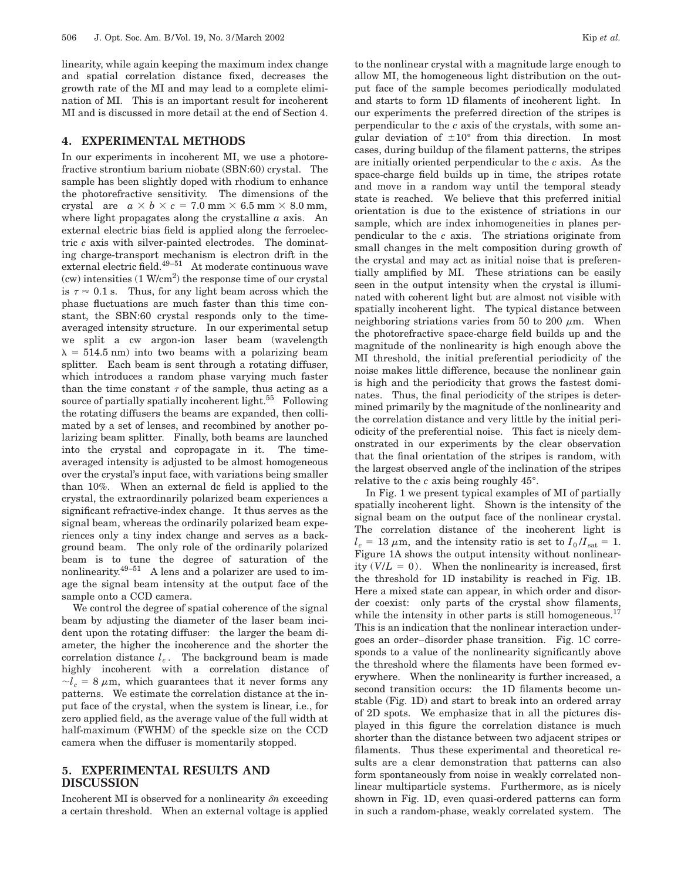linearity, while again keeping the maximum index change and spatial correlation distance fixed, decreases the growth rate of the MI and may lead to a complete elimination of MI. This is an important result for incoherent MI and is discussed in more detail at the end of Section 4.

# **4. EXPERIMENTAL METHODS**

In our experiments in incoherent MI, we use a photorefractive strontium barium niobate (SBN:60) crystal. The sample has been slightly doped with rhodium to enhance the photorefractive sensitivity. The dimensions of the crystal are  $a \times b \times c = 7.0$  mm  $\times$  6.5 mm  $\times$  8.0 mm, where light propagates along the crystalline *a* axis. An external electric bias field is applied along the ferroelectric *c* axis with silver-painted electrodes. The dominating charge-transport mechanism is electron drift in the external electric field. $49-51$  At moderate continuous wave (cw) intensities  $(1 \text{ W/cm}^2)$  the response time of our crystal is  $\tau \approx 0.1$  s. Thus, for any light beam across which the phase fluctuations are much faster than this time constant, the SBN:60 crystal responds only to the timeaveraged intensity structure. In our experimental setup we split a cw argon-ion laser beam (wavelength  $\lambda = 514.5$  nm) into two beams with a polarizing beam splitter. Each beam is sent through a rotating diffuser, which introduces a random phase varying much faster than the time constant  $\tau$  of the sample, thus acting as a source of partially spatially incoherent light.<sup>55</sup> Following the rotating diffusers the beams are expanded, then collimated by a set of lenses, and recombined by another polarizing beam splitter. Finally, both beams are launched into the crystal and copropagate in it. The timeaveraged intensity is adjusted to be almost homogeneous over the crystal's input face, with variations being smaller than 10%. When an external dc field is applied to the crystal, the extraordinarily polarized beam experiences a significant refractive-index change. It thus serves as the signal beam, whereas the ordinarily polarized beam experiences only a tiny index change and serves as a background beam. The only role of the ordinarily polarized beam is to tune the degree of saturation of the nonlinearity.<sup>49–51</sup> A lens and a polarizer are used to image the signal beam intensity at the output face of the sample onto a CCD camera.

We control the degree of spatial coherence of the signal beam by adjusting the diameter of the laser beam incident upon the rotating diffuser: the larger the beam diameter, the higher the incoherence and the shorter the correlation distance  $l_c$ . The background beam is made highly incoherent with a correlation distance of  $\sim l_c = 8 \mu$ m, which guarantees that it never forms any patterns. We estimate the correlation distance at the input face of the crystal, when the system is linear, i.e., for zero applied field, as the average value of the full width at half-maximum (FWHM) of the speckle size on the CCD camera when the diffuser is momentarily stopped.

## **5. EXPERIMENTAL RESULTS AND DISCUSSION**

Incoherent MI is observed for a nonlinearity  $\delta n$  exceeding a certain threshold. When an external voltage is applied

to the nonlinear crystal with a magnitude large enough to allow MI, the homogeneous light distribution on the output face of the sample becomes periodically modulated and starts to form 1D filaments of incoherent light. In our experiments the preferred direction of the stripes is perpendicular to the *c* axis of the crystals, with some angular deviation of  $\pm 10^{\circ}$  from this direction. In most cases, during buildup of the filament patterns, the stripes are initially oriented perpendicular to the *c* axis. As the space-charge field builds up in time, the stripes rotate and move in a random way until the temporal steady state is reached. We believe that this preferred initial orientation is due to the existence of striations in our sample, which are index inhomogeneities in planes perpendicular to the *c* axis. The striations originate from small changes in the melt composition during growth of the crystal and may act as initial noise that is preferentially amplified by MI. These striations can be easily seen in the output intensity when the crystal is illuminated with coherent light but are almost not visible with spatially incoherent light. The typical distance between neighboring striations varies from 50 to 200  $\mu$ m. When the photorefractive space-charge field builds up and the magnitude of the nonlinearity is high enough above the MI threshold, the initial preferential periodicity of the noise makes little difference, because the nonlinear gain is high and the periodicity that grows the fastest dominates. Thus, the final periodicity of the stripes is determined primarily by the magnitude of the nonlinearity and the correlation distance and very little by the initial periodicity of the preferential noise. This fact is nicely demonstrated in our experiments by the clear observation that the final orientation of the stripes is random, with the largest observed angle of the inclination of the stripes relative to the *c* axis being roughly 45°.

In Fig. 1 we present typical examples of MI of partially spatially incoherent light. Shown is the intensity of the signal beam on the output face of the nonlinear crystal. The correlation distance of the incoherent light is  $l_c = 13 \mu m$ , and the intensity ratio is set to  $I_0/I_{sat} = 1$ . Figure 1A shows the output intensity without nonlinearity  $(V/L = 0)$ . When the nonlinearity is increased, first the threshold for 1D instability is reached in Fig. 1B. Here a mixed state can appear, in which order and disorder coexist: only parts of the crystal show filaments, while the intensity in other parts is still homogeneous.<sup>17</sup> This is an indication that the nonlinear interaction undergoes an order–disorder phase transition. Fig. 1C corresponds to a value of the nonlinearity significantly above the threshold where the filaments have been formed everywhere. When the nonlinearity is further increased, a second transition occurs: the 1D filaments become unstable (Fig. 1D) and start to break into an ordered array of 2D spots. We emphasize that in all the pictures displayed in this figure the correlation distance is much shorter than the distance between two adjacent stripes or filaments. Thus these experimental and theoretical results are a clear demonstration that patterns can also form spontaneously from noise in weakly correlated nonlinear multiparticle systems. Furthermore, as is nicely shown in Fig. 1D, even quasi-ordered patterns can form in such a random-phase, weakly correlated system. The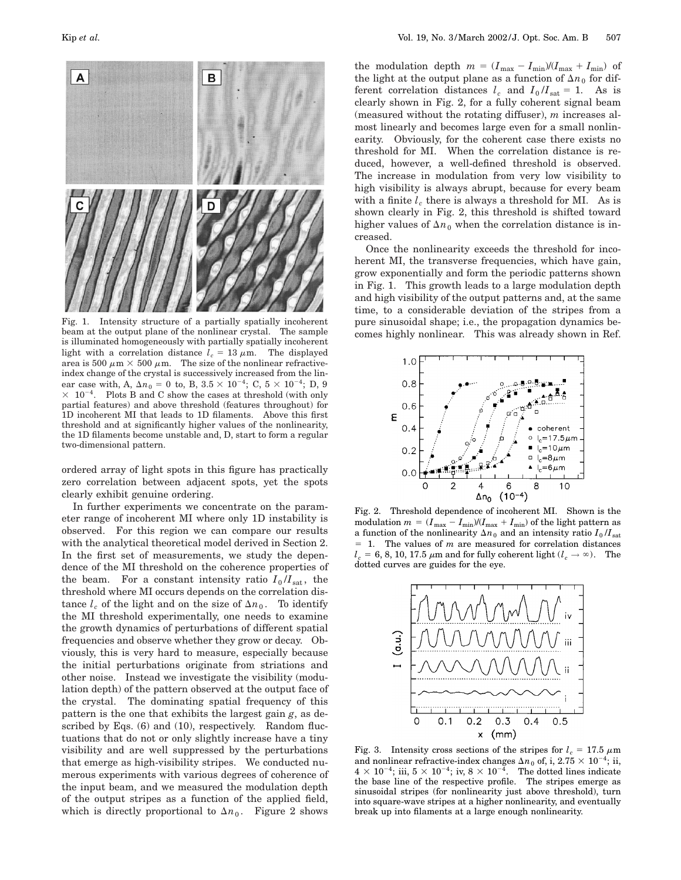

Fig. 1. Intensity structure of a partially spatially incoherent beam at the output plane of the nonlinear crystal. The sample is illuminated homogeneously with partially spatially incoherent light with a correlation distance  $l_c = 13 \mu m$ . The displayed area is 500  $\mu$ m  $\times$  500  $\mu$ m. The size of the nonlinear refractiveindex change of the crystal is successively increased from the linear case with, A,  $\Delta n_0 = 0$  to, B,  $3.5 \times 10^{-4}$ ; C,  $5 \times 10^{-4}$ ; D, 9  $\times$  10<sup>-4</sup>. Plots B and C show the cases at threshold (with only partial features) and above threshold (features throughout) for 1D incoherent MI that leads to 1D filaments. Above this first threshold and at significantly higher values of the nonlinearity, the 1D filaments become unstable and, D, start to form a regular two-dimensional pattern.

ordered array of light spots in this figure has practically zero correlation between adjacent spots, yet the spots clearly exhibit genuine ordering.

In further experiments we concentrate on the parameter range of incoherent MI where only 1D instability is observed. For this region we can compare our results with the analytical theoretical model derived in Section 2. In the first set of measurements, we study the dependence of the MI threshold on the coherence properties of the beam. For a constant intensity ratio  $I_0/I_{\text{sat}}$ , the threshold where MI occurs depends on the correlation distance  $l_c$  of the light and on the size of  $\Delta n_0$ . To identify the MI threshold experimentally, one needs to examine the growth dynamics of perturbations of different spatial frequencies and observe whether they grow or decay. Obviously, this is very hard to measure, especially because the initial perturbations originate from striations and other noise. Instead we investigate the visibility (modulation depth) of the pattern observed at the output face of the crystal. The dominating spatial frequency of this pattern is the one that exhibits the largest gain *g*, as described by Eqs. (6) and (10), respectively. Random fluctuations that do not or only slightly increase have a tiny visibility and are well suppressed by the perturbations that emerge as high-visibility stripes. We conducted numerous experiments with various degrees of coherence of the input beam, and we measured the modulation depth of the output stripes as a function of the applied field, which is directly proportional to  $\Delta n_0$ . Figure 2 shows

the modulation depth  $m = (I_{\text{max}} - I_{\text{min}})/(I_{\text{max}} + I_{\text{min}})$  of the light at the output plane as a function of  $\Delta n_0$  for different correlation distances  $l_c$  and  $I_0/I_{sat} = 1$ . As is clearly shown in Fig. 2, for a fully coherent signal beam (measured without the rotating diffuser), *m* increases almost linearly and becomes large even for a small nonlinearity. Obviously, for the coherent case there exists no threshold for MI. When the correlation distance is reduced, however, a well-defined threshold is observed. The increase in modulation from very low visibility to high visibility is always abrupt, because for every beam with a finite  $l_c$  there is always a threshold for MI. As is shown clearly in Fig. 2, this threshold is shifted toward higher values of  $\Delta n_0$  when the correlation distance is increased.

Once the nonlinearity exceeds the threshold for incoherent MI, the transverse frequencies, which have gain, grow exponentially and form the periodic patterns shown in Fig. 1. This growth leads to a large modulation depth and high visibility of the output patterns and, at the same time, to a considerable deviation of the stripes from a pure sinusoidal shape; i.e., the propagation dynamics becomes highly nonlinear. This was already shown in Ref.



Fig. 2. Threshold dependence of incoherent MI. Shown is the modulation  $m = (I_{\text{max}} - I_{\text{min}})/(I_{\text{max}} + I_{\text{min}})$  of the light pattern as a function of the nonlinearity  $\Delta n_0$  and an intensity ratio  $I_0/I_{sat}$  $= 1$ . The values of *m* are measured for correlation distances  $l_c = 6, 8, 10, 17.5 \mu m$  and for fully coherent light ( $l_c \rightarrow \infty$ ). The dotted curves are guides for the eye.



Fig. 3. Intensity cross sections of the stripes for  $l_c = 17.5 \mu m$ and nonlinear refractive-index changes  $\Delta n_0$  of, i,  $2.75 \times 10^{-4}$ ; ii,  $4 \times 10^{-4}$ ; iii,  $5 \times 10^{-4}$ ; iv,  $8 \times 10^{-4}$ . The dotted lines indicate the base line of the respective profile. The stripes emerge as sinusoidal stripes (for nonlinearity just above threshold), turn into square-wave stripes at a higher nonlinearity, and eventually break up into filaments at a large enough nonlinearity.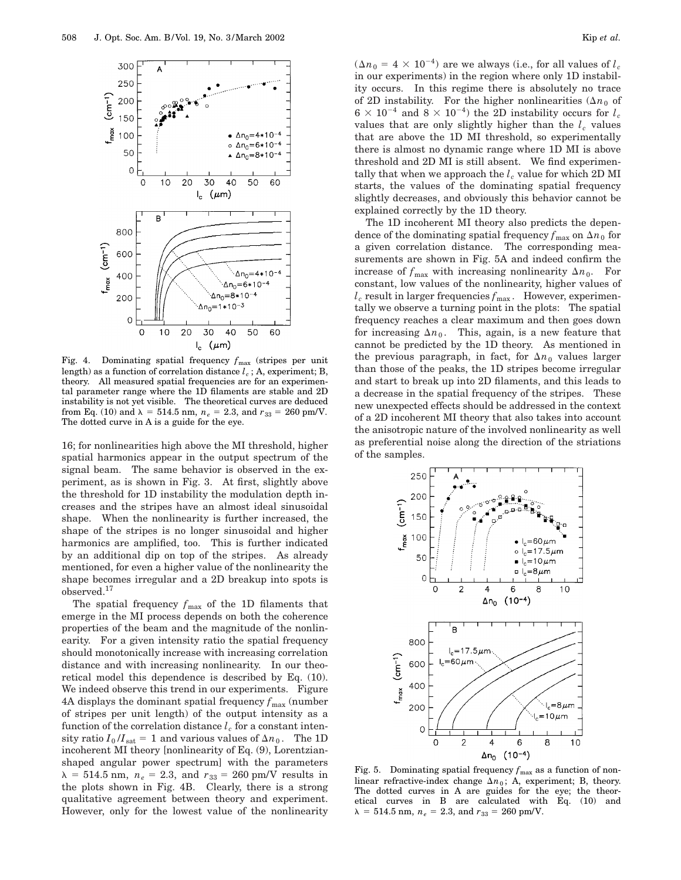

Fig. 4. Dominating spatial frequency  $f_{\text{max}}$  (stripes per unit length) as a function of correlation distance  $l_c$ ; A, experiment; B, theory. All measured spatial frequencies are for an experimental parameter range where the 1D filaments are stable and 2D instability is not yet visible. The theoretical curves are deduced from Eq. (10) and  $\lambda = 514.5$  nm,  $n_e = 2.3$ , and  $r_{33} = 260$  pm/V. The dotted curve in A is a guide for the eye.

16; for nonlinearities high above the MI threshold, higher spatial harmonics appear in the output spectrum of the signal beam. The same behavior is observed in the experiment, as is shown in Fig. 3. At first, slightly above the threshold for 1D instability the modulation depth increases and the stripes have an almost ideal sinusoidal shape. When the nonlinearity is further increased, the shape of the stripes is no longer sinusoidal and higher harmonics are amplified, too. This is further indicated by an additional dip on top of the stripes. As already mentioned, for even a higher value of the nonlinearity the shape becomes irregular and a 2D breakup into spots is observed.17

The spatial frequency  $f_{\text{max}}$  of the 1D filaments that emerge in the MI process depends on both the coherence properties of the beam and the magnitude of the nonlinearity. For a given intensity ratio the spatial frequency should monotonically increase with increasing correlation distance and with increasing nonlinearity. In our theoretical model this dependence is described by Eq. (10). We indeed observe this trend in our experiments. Figure 4A displays the dominant spatial frequency  $f_{\text{max}}$  (number of stripes per unit length) of the output intensity as a function of the correlation distance  $l_c$  for a constant intensity ratio  $I_0/I_{sat} = 1$  and various values of  $\Delta n_0$ . The 1D incoherent MI theory [nonlinearity of Eq. (9), Lorentzianshaped angular power spectrum] with the parameters  $\lambda = 514.5$  nm,  $n_e = 2.3$ , and  $r_{33} = 260$  pm/V results in the plots shown in Fig. 4B. Clearly, there is a strong qualitative agreement between theory and experiment. However, only for the lowest value of the nonlinearity  $(\Delta n_0 = 4 \times 10^{-4})$  are we always (i.e., for all values of  $l_c$ in our experiments) in the region where only 1D instability occurs. In this regime there is absolutely no trace of 2D instability. For the higher nonlinearities  $(\Delta n_0)$  of  $6 \times 10^{-4}$  and  $8 \times 10^{-4}$ ) the 2D instability occurs for  $l_c$ values that are only slightly higher than the  $l_c$  values that are above the 1D MI threshold, so experimentally there is almost no dynamic range where 1D MI is above threshold and 2D MI is still absent. We find experimentally that when we approach the  $l_c$  value for which 2D MI starts, the values of the dominating spatial frequency slightly decreases, and obviously this behavior cannot be explained correctly by the 1D theory.

The 1D incoherent MI theory also predicts the dependence of the dominating spatial frequency  $f_{\text{max}}$  on  $\Delta n_0$  for a given correlation distance. The corresponding measurements are shown in Fig. 5A and indeed confirm the increase of  $f_{\text{max}}$  with increasing nonlinearity  $\Delta n_0$ . For constant, low values of the nonlinearity, higher values of  $l_c$  result in larger frequencies  $f_{\text{max}}$ . However, experimentally we observe a turning point in the plots: The spatial frequency reaches a clear maximum and then goes down for increasing  $\Delta n_0$ . This, again, is a new feature that cannot be predicted by the 1D theory. As mentioned in the previous paragraph, in fact, for  $\Delta n_0$  values larger than those of the peaks, the 1D stripes become irregular and start to break up into 2D filaments, and this leads to a decrease in the spatial frequency of the stripes. These new unexpected effects should be addressed in the context of a 2D incoherent MI theory that also takes into account the anisotropic nature of the involved nonlinearity as well as preferential noise along the direction of the striations of the samples.



Fig. 5. Dominating spatial frequency  $f_{\text{max}}$  as a function of nonlinear refractive-index change  $\Delta n_0$ ; A, experiment; B, theory. The dotted curves in A are guides for the eye; the theoretical curves in B are calculated with Eq. (10) and  $\lambda = 514.5$  nm,  $n_e = 2.3$ , and  $r_{33} = 260$  pm/V.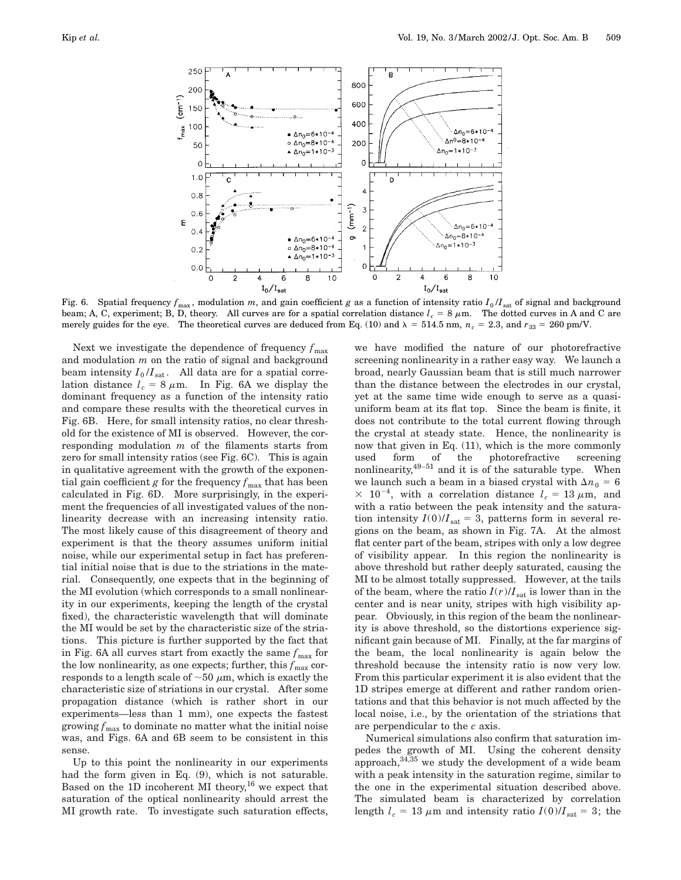

Fig. 6. Spatial frequency  $f_{\text{max}}$ , modulation *m*, and gain coefficient *g* as a function of intensity ratio  $I_0/I_{\text{sat}}$  of signal and background beam; A, C, experiment; B, D, theory. All curves are for a spatial correlation distance  $l_c = 8 \mu m$ . The dotted curves in A and C are merely guides for the eye. The theoretical curves are deduced from Eq. (10) and  $\lambda = 514.5$  nm,  $n_c = 2.3$ , and  $r_{33} = 260$  pm/V.

Next we investigate the dependence of frequency  $f_{\text{max}}$ and modulation *m* on the ratio of signal and background beam intensity  $I_0/I_{sat}$ . All data are for a spatial correlation distance  $l_c = 8 \mu m$ . In Fig. 6A we display the dominant frequency as a function of the intensity ratio and compare these results with the theoretical curves in Fig. 6B. Here, for small intensity ratios, no clear threshold for the existence of MI is observed. However, the corresponding modulation *m* of the filaments starts from zero for small intensity ratios (see Fig. 6C). This is again in qualitative agreement with the growth of the exponential gain coefficient  $g$  for the frequency  $f_{\text{max}}$  that has been calculated in Fig. 6D. More surprisingly, in the experiment the frequencies of all investigated values of the nonlinearity decrease with an increasing intensity ratio. The most likely cause of this disagreement of theory and experiment is that the theory assumes uniform initial noise, while our experimental setup in fact has preferential initial noise that is due to the striations in the material. Consequently, one expects that in the beginning of the MI evolution (which corresponds to a small nonlinearity in our experiments, keeping the length of the crystal fixed), the characteristic wavelength that will dominate the MI would be set by the characteristic size of the striations. This picture is further supported by the fact that in Fig. 6A all curves start from exactly the same  $f_{\text{max}}$  for the low nonlinearity, as one expects; further, this  $f_{\text{max}}$  corresponds to a length scale of  $\sim$ 50  $\mu$ m, which is exactly the characteristic size of striations in our crystal. After some propagation distance (which is rather short in our experiments—less than 1 mm), one expects the fastest growing  $f_{\text{max}}$  to dominate no matter what the initial noise was, and Figs. 6A and 6B seem to be consistent in this sense.

Up to this point the nonlinearity in our experiments had the form given in Eq. (9), which is not saturable. Based on the 1D incoherent MI theory,<sup>16</sup> we expect that saturation of the optical nonlinearity should arrest the MI growth rate. To investigate such saturation effects,

we have modified the nature of our photorefractive screening nonlinearity in a rather easy way. We launch a broad, nearly Gaussian beam that is still much narrower than the distance between the electrodes in our crystal, yet at the same time wide enough to serve as a quasiuniform beam at its flat top. Since the beam is finite, it does not contribute to the total current flowing through the crystal at steady state. Hence, the nonlinearity is now that given in Eq. (11), which is the more commonly used form of the photorefractive screening nonlinearity, $49-51$  and it is of the saturable type. When we launch such a beam in a biased crystal with  $\Delta n_0 = 6$  $\times$  10<sup>-4</sup>, with a correlation distance  $l_c = 13 \mu m$ , and with a ratio between the peak intensity and the saturation intensity  $I(0)/I<sub>sat</sub> = 3$ , patterns form in several regions on the beam, as shown in Fig. 7A. At the almost flat center part of the beam, stripes with only a low degree of visibility appear. In this region the nonlinearity is above threshold but rather deeply saturated, causing the MI to be almost totally suppressed. However, at the tails of the beam, where the ratio  $I(r)/I<sub>sat</sub>$  is lower than in the center and is near unity, stripes with high visibility appear. Obviously, in this region of the beam the nonlinearity is above threshold, so the distortions experience significant gain because of MI. Finally, at the far margins of the beam, the local nonlinearity is again below the threshold because the intensity ratio is now very low. From this particular experiment it is also evident that the 1D stripes emerge at different and rather random orientations and that this behavior is not much affected by the local noise, i.e., by the orientation of the striations that are perpendicular to the *c* axis.

Numerical simulations also confirm that saturation impedes the growth of MI. Using the coherent density approach,  $34,35$  we study the development of a wide beam with a peak intensity in the saturation regime, similar to the one in the experimental situation described above. The simulated beam is characterized by correlation length  $l_c = 13 \mu \text{m}$  and intensity ratio  $I(0)/I_{\text{sat}} = 3$ ; the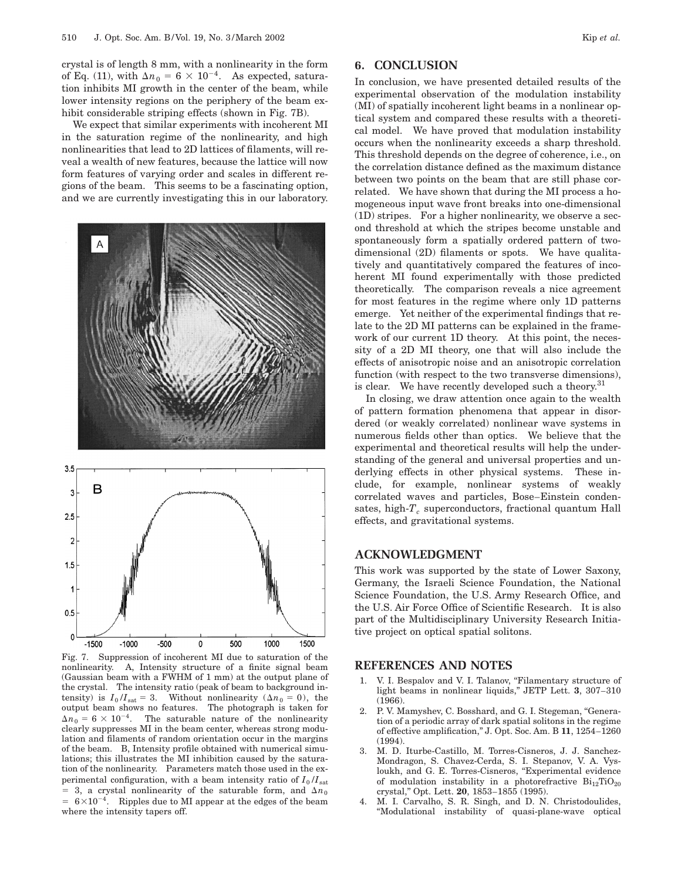crystal is of length 8 mm, with a nonlinearity in the form of Eq. (11), with  $\Delta n_0 = 6 \times 10^{-4}$ . As expected, saturation inhibits MI growth in the center of the beam, while lower intensity regions on the periphery of the beam exhibit considerable striping effects (shown in Fig. 7B).

We expect that similar experiments with incoherent MI in the saturation regime of the nonlinearity, and high nonlinearities that lead to 2D lattices of filaments, will reveal a wealth of new features, because the lattice will now form features of varying order and scales in different regions of the beam. This seems to be a fascinating option, and we are currently investigating this in our laboratory.



Fig. 7. Suppression of incoherent MI due to saturation of the nonlinearity. A, Intensity structure of a finite signal beam (Gaussian beam with a FWHM of 1 mm) at the output plane of the crystal. The intensity ratio (peak of beam to background intensity) is  $I_0/I_{\text{sat}} = 3$ . Without nonlinearity ( $\Delta n_0 = 0$ ), the output beam shows no features. The photograph is taken for  $\Delta n_0 = 6 \times 10^{-4}$ . The saturable nature of the nonlinearity clearly suppresses MI in the beam center, whereas strong modulation and filaments of random orientation occur in the margins of the beam. B, Intensity profile obtained with numerical simulations; this illustrates the MI inhibition caused by the saturation of the nonlinearity. Parameters match those used in the experimental configuration, with a beam intensity ratio of  $I_0/I_{sat}$  $=$  3, a crystal nonlinearity of the saturable form, and  $\Delta n_0$  $= 6 \times 10^{-4}$ . Ripples due to MI appear at the edges of the beam where the intensity tapers off.

# **6. CONCLUSION**

In conclusion, we have presented detailed results of the experimental observation of the modulation instability (MI) of spatially incoherent light beams in a nonlinear optical system and compared these results with a theoretical model. We have proved that modulation instability occurs when the nonlinearity exceeds a sharp threshold. This threshold depends on the degree of coherence, i.e., on the correlation distance defined as the maximum distance between two points on the beam that are still phase correlated. We have shown that during the MI process a homogeneous input wave front breaks into one-dimensional (1D) stripes. For a higher nonlinearity, we observe a second threshold at which the stripes become unstable and spontaneously form a spatially ordered pattern of twodimensional (2D) filaments or spots. We have qualitatively and quantitatively compared the features of incoherent MI found experimentally with those predicted theoretically. The comparison reveals a nice agreement for most features in the regime where only 1D patterns emerge. Yet neither of the experimental findings that relate to the 2D MI patterns can be explained in the framework of our current 1D theory. At this point, the necessity of a 2D MI theory, one that will also include the effects of anisotropic noise and an anisotropic correlation function (with respect to the two transverse dimensions), is clear. We have recently developed such a theory. $31$ 

In closing, we draw attention once again to the wealth of pattern formation phenomena that appear in disordered (or weakly correlated) nonlinear wave systems in numerous fields other than optics. We believe that the experimental and theoretical results will help the understanding of the general and universal properties and underlying effects in other physical systems. These include, for example, nonlinear systems of weakly correlated waves and particles, Bose–Einstein condensates, high- $T_c$  superconductors, fractional quantum Hall effects, and gravitational systems.

## **ACKNOWLEDGMENT**

This work was supported by the state of Lower Saxony, Germany, the Israeli Science Foundation, the National Science Foundation, the U.S. Army Research Office, and the U.S. Air Force Office of Scientific Research. It is also part of the Multidisciplinary University Research Initiative project on optical spatial solitons.

# **REFERENCES AND NOTES**

- 1. V. I. Bespalov and V. I. Talanov, "Filamentary structure of light beams in nonlinear liquids,'' JETP Lett. **3**, 307–310  $(1966)$ .
- 2. P. V. Mamyshev, C. Bosshard, and G. I. Stegeman, ''Generation of a periodic array of dark spatial solitons in the regime of effective amplification,'' J. Opt. Soc. Am. B **11**, 1254–1260 (1994).
- 3. M. D. Iturbe-Castillo, M. Torres-Cisneros, J. J. Sanchez-Mondragon, S. Chavez-Cerda, S. I. Stepanov, V. A. Vysloukh, and G. E. Torres-Cisneros, "Experimental evidence of modulation instability in a photorefractive  $Bi_{12}TiO_{20}$ crystal,'' Opt. Lett. **20**, 1853–1855 (1995).
- 4. M. I. Carvalho, S. R. Singh, and D. N. Christodoulides, ''Modulational instability of quasi-plane-wave optical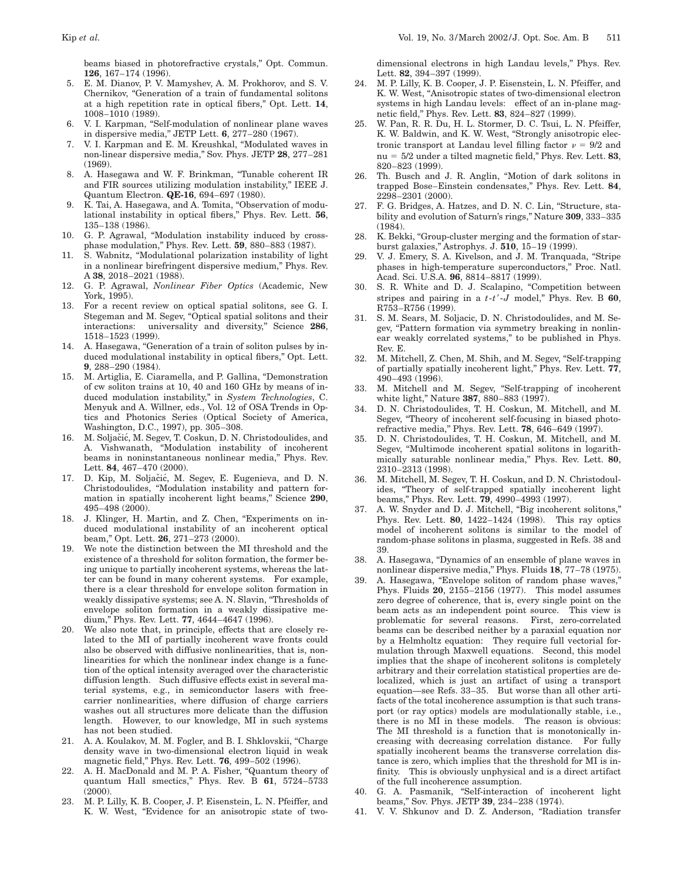beams biased in photorefractive crystals,'' Opt. Commun. **126**, 167–174 (1996).

- 5. E. M. Dianov, P. V. Mamyshev, A. M. Prokhorov, and S. V. Chernikov, ''Generation of a train of fundamental solitons at a high repetition rate in optical fibers,'' Opt. Lett. **14**, 1008–1010 (1989).
- 6. V. I. Karpman, ''Self-modulation of nonlinear plane waves in dispersive media,'' JETP Lett. **6**, 277–280 (1967).
- 7. V. I. Karpman and E. M. Kreushkal, ''Modulated waves in non-linear dispersive media,'' Sov. Phys. JETP **28**, 277–281 (1969).
- 8. A. Hasegawa and W. F. Brinkman, ''Tunable coherent IR and FIR sources utilizing modulation instability,'' IEEE J. Quantum Electron. **QE-16**, 694–697 (1980).
- K. Tai, A. Hasegawa, and A. Tomita, "Observation of modulational instability in optical fibers,'' Phys. Rev. Lett. **56**, 135–138 (1986).
- 10. G. P. Agrawal, ''Modulation instability induced by crossphase modulation,'' Phys. Rev. Lett. **59**, 880–883 (1987).
- 11. S. Wabnitz, ''Modulational polarization instability of light in a nonlinear birefringent dispersive medium,'' Phys. Rev. A **38**, 2018–2021 (1988).
- 12. G. P. Agrawal, *Nonlinear Fiber Optics* (Academic, New York, 1995).
- 13. For a recent review on optical spatial solitons, see G. I. Stegeman and M. Segev, "Optical spatial solitons and their interactions: universality and diversity,'' Science **286**, 1518–1523 (1999).
- 14. A. Hasegawa, ''Generation of a train of soliton pulses by induced modulational instability in optical fibers,'' Opt. Lett. **9**, 288–290 (1984).
- 15. M. Artiglia, E. Ciaramella, and P. Gallina, "Demonstration of cw soliton trains at 10, 40 and 160 GHz by means of induced modulation instability,'' in *System Technologies*, C. Menyuk and A. Willner, eds., Vol. 12 of OSA Trends in Optics and Photonics Series (Optical Society of America, Washington, D.C., 1997), pp. 305–308.
- 16. M. Soljačić, M. Segev, T. Coskun, D. N. Christodoulides, and A. Vishwanath, ''Modulation instability of incoherent beams in noninstantaneous nonlinear media,'' Phys. Rev. Lett. **84**, 467–470 (2000).
- 17. D. Kip, M. Soljačić, M. Segev, E. Eugenieva, and D. N. Christodoulides, ''Modulation instability and pattern formation in spatially incoherent light beams,'' Science **290**, 495–498 (2000).
- 18. J. Klinger, H. Martin, and Z. Chen, "Experiments on induced modulational instability of an incoherent optical beam,'' Opt. Lett. **26**, 271–273 (2000).
- 19. We note the distinction between the MI threshold and the existence of a threshold for soliton formation, the former being unique to partially incoherent systems, whereas the latter can be found in many coherent systems. For example, there is a clear threshold for envelope soliton formation in weakly dissipative systems; see A. N. Slavin, "Thresholds of envelope soliton formation in a weakly dissipative medium,'' Phys. Rev. Lett. **77**, 4644–4647 (1996).
- 20. We also note that, in principle, effects that are closely related to the MI of partially incoherent wave fronts could also be observed with diffusive nonlinearities, that is, nonlinearities for which the nonlinear index change is a function of the optical intensity averaged over the characteristic diffusion length. Such diffusive effects exist in several material systems, e.g., in semiconductor lasers with freecarrier nonlinearities, where diffusion of charge carriers washes out all structures more delicate than the diffusion length. However, to our knowledge, MI in such systems has not been studied.
- 21. A. A. Koulakov, M. M. Fogler, and B. I. Shklovskii, "Charge density wave in two-dimensional electron liquid in weak magnetic field,'' Phys. Rev. Lett. **76**, 499–502 (1996).
- A. H. MacDonald and M. P. A. Fisher, "Quantum theory of quantum Hall smectics,'' Phys. Rev. B **61**, 5724–5733  $(2000)$ .
- 23. M. P. Lilly, K. B. Cooper, J. P. Eisenstein, L. N. Pfeiffer, and K. W. West, "Evidence for an anisotropic state of two-

dimensional electrons in high Landau levels,'' Phys. Rev. Lett. **82**, 394–397 (1999).

- 24. M. P. Lilly, K. B. Cooper, J. P. Eisenstein, L. N. Pfeiffer, and K. W. West, "Anisotropic states of two-dimensional electron systems in high Landau levels: effect of an in-plane magnetic field,'' Phys. Rev. Lett. **83**, 824–827 (1999).
- 25. W. Pan, R. R. Du, H. L. Stormer, D. C. Tsui, L. N. Pfeiffer, K. W. Baldwin, and K. W. West, ''Strongly anisotropic electronic transport at Landau level filling factor  $\nu = 9/2$  and nu =  $5/2$  under a tilted magnetic field," Phys. Rev. Lett.  $83$ , 820–823 (1999).
- 26. Th. Busch and J. R. Anglin, ''Motion of dark solitons in trapped Bose–Einstein condensates,'' Phys. Rev. Lett. **84**, 2298–2301 (2000).
- 27. F. G. Bridges, A. Hatzes, and D. N. C. Lin, ''Structure, stability and evolution of Saturn's rings,'' Nature **309**, 333–335  $(1984)$
- 28. K. Bekki, "Group-cluster merging and the formation of starburst galaxies,'' Astrophys. J. **510**, 15–19 (1999).
- 29. V. J. Emery, S. A. Kivelson, and J. M. Tranquada, ''Stripe phases in high-temperature superconductors,'' Proc. Natl. Acad. Sci. U.S.A. **96**, 8814–8817 (1999).
- 30. S. R. White and D. J. Scalapino, ''Competition between stripes and pairing in a *t*-*t'*-*J* model," Phys. Rev. B 60, R753–R756 (1999).
- 31. S. M. Sears, M. Soljacic, D. N. Christodoulides, and M. Segev, "Pattern formation via symmetry breaking in nonlinear weakly correlated systems," to be published in Phys. Rev. E.
- 32. M. Mitchell, Z. Chen, M. Shih, and M. Segev, ''Self-trapping of partially spatially incoherent light,'' Phys. Rev. Lett. **77**, 490–493 (1996).
- 33. M. Mitchell and M. Segev, "Self-trapping of incoherent white light,'' Nature **387**, 880–883 (1997).
- 34. D. N. Christodoulides, T. H. Coskun, M. Mitchell, and M. Segev, ''Theory of incoherent self-focusing in biased photorefractive media,'' Phys. Rev. Lett. **78**, 646–649 (1997).
- 35. D. N. Christodoulides, T. H. Coskun, M. Mitchell, and M. Segev, ''Multimode incoherent spatial solitons in logarithmically saturable nonlinear media,'' Phys. Rev. Lett. **80**, 2310–2313 (1998).
- 36. M. Mitchell, M. Segev, T. H. Coskun, and D. N. Christodoulides, ''Theory of self-trapped spatially incoherent light beams,'' Phys. Rev. Lett. **79**, 4990–4993 (1997).
- 37. A. W. Snyder and D. J. Mitchell, "Big incoherent solitons," Phys. Rev. Lett. **80**, 1422–1424 (1998). This ray optics model of incoherent solitons is similar to the model of random-phase solitons in plasma, suggested in Refs. 38 and 39.
- 38. A. Hasegawa, ''Dynamics of an ensemble of plane waves in nonlinear dispersive media,'' Phys. Fluids **18**, 77–78 (1975).
- 39. A. Hasegawa, "Envelope soliton of random phase waves," Phys. Fluids **20**, 2155–2156 (1977). This model assumes zero degree of coherence, that is, every single point on the beam acts as an independent point source. This view is problematic for several reasons. First, zero-correlated beams can be described neither by a paraxial equation nor by a Helmholtz equation: They require full vectorial formulation through Maxwell equations. Second, this model implies that the shape of incoherent solitons is completely arbitrary and their correlation statistical properties are delocalized, which is just an artifact of using a transport equation—see Refs. 33–35. But worse than all other artifacts of the total incoherence assumption is that such transport (or ray optics) models are modulationally stable, i.e., there is no MI in these models. The reason is obvious: The MI threshold is a function that is monotonically increasing with decreasing correlation distance. For fully spatially incoherent beams the transverse correlation distance is zero, which implies that the threshold for MI is infinity. This is obviously unphysical and is a direct artifact of the full incoherence assumption.
- 40. G. A. Pasmanik, ''Self-interaction of incoherent light beams,'' Sov. Phys. JETP **39**, 234–238 (1974).
- 41. V. V. Shkunov and D. Z. Anderson, ''Radiation transfer